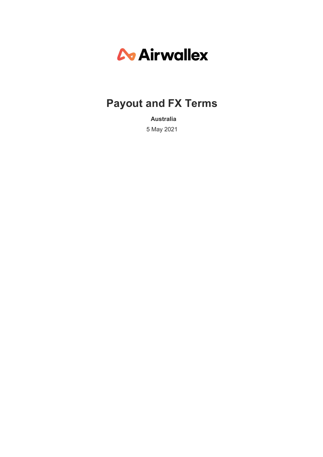# *C* Airwallex

# **Payout and FX Terms**

**Australia** 5 May 2021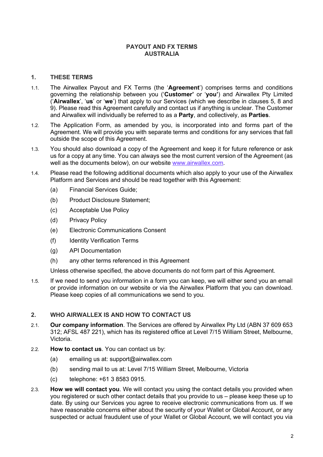# **PAYOUT AND FX TERMS AUSTRALIA**

# **1. THESE TERMS**

- 1.1. The Airwallex Payout and FX Terms (the '**Agreement**') comprises terms and conditions governing the relationship between you ('**Customer'** or '**you'**) and Airwallex Pty Limited ('**Airwallex**', '**us**' or '**we**') that apply to our Services (which we describe in clauses 5, 8 and 9). Please read this Agreement carefully and contact us if anything is unclear. The Customer and Airwallex will individually be referred to as a **Party**, and collectively, as **Parties**.
- 1.2. The Application Form, as amended by you, is incorporated into and forms part of the Agreement. We will provide you with separate terms and conditions for any services that fall outside the scope of this Agreement.
- 1.3. You should also download a copy of the Agreement and keep it for future reference or ask us for a copy at any time. You can always see the most current version of the Agreement (as well as the documents below), on our website www.airwallex.com.
- 1.4. Please read the following additional documents which also apply to your use of the Airwallex Platform and Services and should be read together with this Agreement:
	- (a) Financial Services Guide;
	- (b) Product Disclosure Statement;
	- (c) Acceptable Use Policy
	- (d) Privacy Policy
	- (e) Electronic Communications Consent
	- (f) Identity Verification Terms
	- (g) API Documentation
	- (h) any other terms referenced in this Agreement

Unless otherwise specified, the above documents do not form part of this Agreement.

1.5. If we need to send you information in a form you can keep, we will either send you an email or provide information on our website or via the Airwallex Platform that you can download. Please keep copies of all communications we send to you.

# **2. WHO AIRWALLEX IS AND HOW TO CONTACT US**

- 2.1. **Our company information**. The Services are offered by Airwallex Pty Ltd (ABN 37 609 653 312; AFSL 487 221), which has its registered office at Level 7/15 William Street, Melbourne, Victoria.
- 2.2. **How to contact us**. You can contact us by:
	- (a) emailing us at: support@airwallex.com
	- (b) sending mail to us at: Level 7/15 William Street, Melbourne, Victoria
	- (c) telephone: +61 3 8583 0915.
- 2.3. **How we will contact you**. We will contact you using the contact details you provided when you registered or such other contact details that you provide to us – please keep these up to date. By using our Services you agree to receive electronic communications from us. If we have reasonable concerns either about the security of your Wallet or Global Account, or any suspected or actual fraudulent use of your Wallet or Global Account, we will contact you via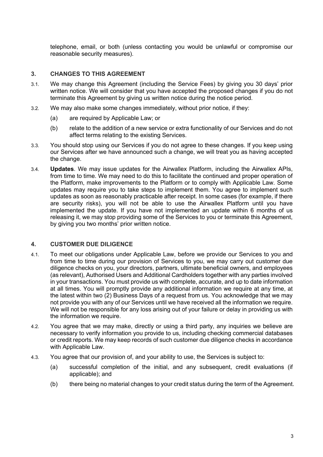telephone, email, or both (unless contacting you would be unlawful or compromise our reasonable security measures).

# **3. CHANGES TO THIS AGREEMENT**

- 3.1. We may change this Agreement (including the Service Fees) by giving you 30 days' prior written notice. We will consider that you have accepted the proposed changes if you do not terminate this Agreement by giving us written notice during the notice period.
- 3.2. We may also make some changes immediately, without prior notice, if they:
	- (a) are required by Applicable Law; or
	- (b) relate to the addition of a new service or extra functionality of our Services and do not affect terms relating to the existing Services.
- 3.3. You should stop using our Services if you do not agree to these changes. If you keep using our Services after we have announced such a change, we will treat you as having accepted the change.
- 3.4. **Updates**. We may issue updates for the Airwallex Platform, including the Airwallex APIs, from time to time. We may need to do this to facilitate the continued and proper operation of the Platform, make improvements to the Platform or to comply with Applicable Law. Some updates may require you to take steps to implement them. You agree to implement such updates as soon as reasonably practicable after receipt. In some cases (for example, if there are security risks), you will not be able to use the Airwallex Platform until you have implemented the update. If you have not implemented an update within 6 months of us releasing it, we may stop providing some of the Services to you or terminate this Agreement, by giving you two months' prior written notice.

#### **4. CUSTOMER DUE DILIGENCE**

- 4.1. To meet our obligations under Applicable Law, before we provide our Services to you and from time to time during our provision of Services to you, we may carry out customer due diligence checks on you, your directors, partners, ultimate beneficial owners, and employees (as relevant), Authorised Users and Additional Cardholders together with any parties involved in your transactions. You must provide us with complete, accurate, and up to date information at all times. You will promptly provide any additional information we require at any time, at the latest within two (2) Business Days of a request from us. You acknowledge that we may not provide you with any of our Services until we have received all the information we require. We will not be responsible for any loss arising out of your failure or delay in providing us with the information we require.
- 4.2. You agree that we may make, directly or using a third party, any inquiries we believe are necessary to verify information you provide to us, including checking commercial databases or credit reports. We may keep records of such customer due diligence checks in accordance with Applicable Law.
- 4.3. You agree that our provision of, and your ability to use, the Services is subject to:
	- (a) successful completion of the initial, and any subsequent, credit evaluations (if applicable); and
	- (b) there being no material changes to your credit status during the term of the Agreement.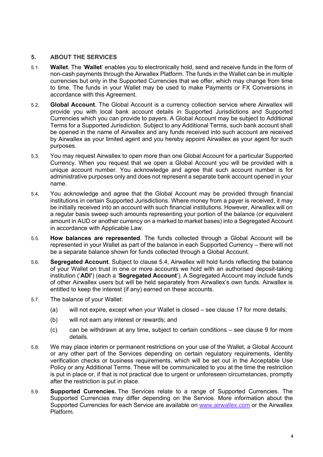# **5. ABOUT THE SERVICES**

- 5.1. **Wallet**. The '**Wallet**' enables you to electronically hold, send and receive funds in the form of non-cash payments through the Airwallex Platform. The funds in the Wallet can be in multiple currencies but only in the Supported Currencies that we offer, which may change from time to time. The funds in your Wallet may be used to make Payments or FX Conversions in accordance with this Agreement.
- 5.2. **Global Account**. The Global Account is a currency collection service where Airwallex will provide you with local bank account details in Supported Jurisdictions and Supported Currencies which you can provide to payers. A Global Account may be subject to Additional Terms for a Supported Jurisdiction. Subject to any Additional Terms, such bank account shall be opened in the name of Airwallex and any funds received into such account are received by Airwallex as your limited agent and you hereby appoint Airwallex as your agent for such purposes.
- 5.3. You may request Airwallex to open more than one Global Account for a particular Supported Currency. When you request that we open a Global Account you will be provided with a unique account number. You acknowledge and agree that such account number is for administrative purposes only and does not represent a separate bank account opened in your name.
- 5.4. You acknowledge and agree that the Global Account may be provided through financial institutions in certain Supported Jurisdictions. Where money from a payer is received, it may be initially received into an account with such financial institutions. However, Airwallex will on a regular basis sweep such amounts representing your portion of the balance (or equivalent amount in AUD or another currency on a marked to market bases) into a Segregated Account in accordance with Applicable Law.
- 5.5. **How balances are represented**. The funds collected through a Global Account will be represented in your Wallet as part of the balance in each Supported Currency – there will not be a separate balance shown for funds collected through a Global Account.
- 5.6. **Segregated Account**. Subject to clause 5.4, Airwallex will hold funds reflecting the balance of your Wallet on trust in one or more accounts we hold with an authorised deposit-taking institution ('**ADI'**) (each a '**Segregated Account**'). A Segregated Account may include funds of other Airwallex users but will be held separately from Airwallex's own funds. Airwallex is entitled to keep the interest (if any) earned on these accounts.
- 5.7. The balance of your Wallet:
	- (a) will not expire, except when your Wallet is closed see clause 17 for more details;
	- (b) will not earn any interest or rewards; and
	- (c) can be withdrawn at any time, subject to certain conditions see clause 9 for more details.
- 5.8. We may place interim or permanent restrictions on your use of the Wallet, a Global Account or any other part of the Services depending on certain regulatory requirements, identity verification checks or business requirements, which will be set out in the Acceptable Use Policy or any Additional Terms. These will be communicated to you at the time the restriction is put in place or, if that is not practical due to urgent or unforeseen circumstances, promptly after the restriction is put in place.
- 5.9. **Supported Currencies.** The Services relate to a range of Supported Currencies. The Supported Currencies may differ depending on the Service. More information about the Supported Currencies for each Service are available on www.airwallex.com or the Airwallex Platform.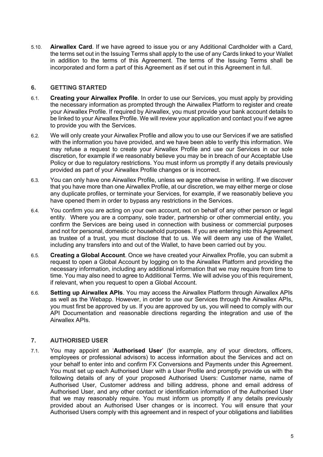5.10. **Airwallex Card**. If we have agreed to issue you or any Additional Cardholder with a Card, the terms set out in the Issuing Terms shall apply to the use of any Cards linked to your Wallet in addition to the terms of this Agreement. The terms of the Issuing Terms shall be incorporated and form a part of this Agreement as if set out in this Agreement in full.

# **6. GETTING STARTED**

- 6.1. **Creating your Airwallex Profile**. In order to use our Services, you must apply by providing the necessary information as prompted through the Airwallex Platform to register and create your Airwallex Profile. If required by Airwallex, you must provide your bank account details to be linked to your Airwallex Profile. We will review your application and contact you if we agree to provide you with the Services.
- 6.2. We will only create your Airwallex Profile and allow you to use our Services if we are satisfied with the information you have provided, and we have been able to verify this information. We may refuse a request to create your Airwallex Profile and use our Services in our sole discretion, for example if we reasonably believe you may be in breach of our Acceptable Use Policy or due to regulatory restrictions. You must inform us promptly if any details previously provided as part of your Airwallex Profile changes or is incorrect.
- 6.3. You can only have one Airwallex Profile, unless we agree otherwise in writing. If we discover that you have more than one Airwallex Profile, at our discretion, we may either merge or close any duplicate profiles, or terminate your Services, for example, if we reasonably believe you have opened them in order to bypass any restrictions in the Services.
- 6.4. You confirm you are acting on your own account, not on behalf of any other person or legal entity. Where you are a company, sole trader, partnership or other commercial entity, you confirm the Services are being used in connection with business or commercial purposes and not for personal, domestic or household purposes. If you are entering into this Agreement as trustee of a trust, you must disclose that to us. We will deem any use of the Wallet, including any transfers into and out of the Wallet, to have been carried out by you.
- 6.5. **Creating a Global Account**. Once we have created your Airwallex Profile, you can submit a request to open a Global Account by logging on to the Airwallex Platform and providing the necessary information, including any additional information that we may require from time to time. You may also need to agree to Additional Terms. We will advise you of this requirement, if relevant, when you request to open a Global Account.
- 6.6. **Setting up Airwallex APIs**. You may access the Airwallex Platform through Airwallex APIs as well as the Webapp. However, in order to use our Services through the Airwallex APIs, you must first be approved by us. If you are approved by us, you will need to comply with our API Documentation and reasonable directions regarding the integration and use of the Airwallex APIs.

# **7. AUTHORISED USER**

7.1. You may appoint an '**Authorised User**' (for example, any of your directors, officers, employees or professional advisors) to access information about the Services and act on your behalf to enter into and confirm FX Conversions and Payments under this Agreement. You must set up each Authorised User with a User Profile and promptly provide us with the following details of any of your proposed Authorised Users: Customer name, name of Authorised User, Customer address and billing address, phone and email address of Authorised User, and any other contact or identification information of the Authorised User that we may reasonably require. You must inform us promptly if any details previously provided about an Authorised User changes or is incorrect. You will ensure that your Authorised Users comply with this agreement and in respect of your obligations and liabilities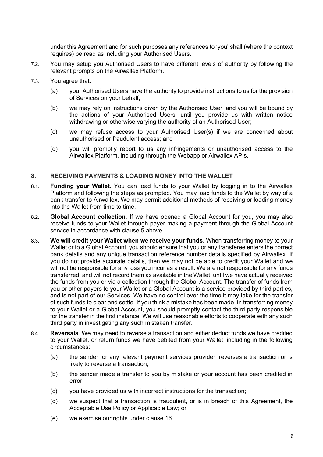under this Agreement and for such purposes any references to 'you' shall (where the context requires) be read as including your Authorised Users.

- 7.2. You may setup you Authorised Users to have different levels of authority by following the relevant prompts on the Airwallex Platform.
- 7.3. You agree that:
	- (a) your Authorised Users have the authority to provide instructions to us for the provision of Services on your behalf;
	- (b) we may rely on instructions given by the Authorised User, and you will be bound by the actions of your Authorised Users, until you provide us with written notice withdrawing or otherwise varying the authority of an Authorised User;
	- (c) we may refuse access to your Authorised User(s) if we are concerned about unauthorised or fraudulent access; and
	- (d) you will promptly report to us any infringements or unauthorised access to the Airwallex Platform, including through the Webapp or Airwallex APIs.

#### **8. RECEIVING PAYMENTS & LOADING MONEY INTO THE WALLET**

- 8.1. **Funding your Wallet**. You can load funds to your Wallet by logging in to the Airwallex Platform and following the steps as prompted. You may load funds to the Wallet by way of a bank transfer to Airwallex. We may permit additional methods of receiving or loading money into the Wallet from time to time.
- 8.2. **Global Account collection**. If we have opened a Global Account for you, you may also receive funds to your Wallet through payer making a payment through the Global Account service in accordance with clause 5 above.
- 8.3. **We will credit your Wallet when we receive your funds**. When transferring money to your Wallet or to a Global Account, you should ensure that you or any transferee enters the correct bank details and any unique transaction reference number details specified by Airwallex. If you do not provide accurate details, then we may not be able to credit your Wallet and we will not be responsible for any loss you incur as a result. We are not responsible for any funds transferred, and will not record them as available in the Wallet, until we have actually received the funds from you or via a collection through the Global Account. The transfer of funds from you or other payers to your Wallet or a Global Account is a service provided by third parties, and is not part of our Services. We have no control over the time it may take for the transfer of such funds to clear and settle. If you think a mistake has been made, in transferring money to your Wallet or a Global Account, you should promptly contact the third party responsible for the transfer in the first instance. We will use reasonable efforts to cooperate with any such third party in investigating any such mistaken transfer.
- 8.4. **Reversals**. We may need to reverse a transaction and either deduct funds we have credited to your Wallet, or return funds we have debited from your Wallet, including in the following circumstances:
	- (a) the sender, or any relevant payment services provider, reverses a transaction or is likely to reverse a transaction;
	- (b) the sender made a transfer to you by mistake or your account has been credited in error;
	- (c) you have provided us with incorrect instructions for the transaction;
	- (d) we suspect that a transaction is fraudulent, or is in breach of this Agreement, the Acceptable Use Policy or Applicable Law; or
	- (e) we exercise our rights under clause 16.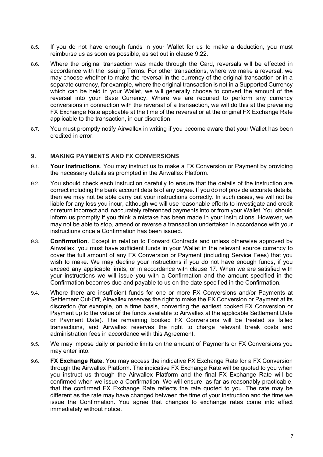- 8.5. If you do not have enough funds in your Wallet for us to make a deduction, you must reimburse us as soon as possible, as set out in clause 9.22.
- 8.6. Where the original transaction was made through the Card, reversals will be effected in accordance with the Issuing Terms. For other transactions, where we make a reversal, we may choose whether to make the reversal in the currency of the original transaction or in a separate currency, for example, where the original transaction is not in a Supported Currency which can be held in your Wallet, we will generally choose to convert the amount of the reversal into your Base Currency. Where we are required to perform any currency conversions in connection with the reversal of a transaction, we will do this at the prevailing FX Exchange Rate applicable at the time of the reversal or at the original FX Exchange Rate applicable to the transaction, in our discretion.
- 8.7. You must promptly notify Airwallex in writing if you become aware that your Wallet has been credited in error.

#### **9. MAKING PAYMENTS AND FX CONVERSIONS**

- 9.1. **Your instructions**. You may instruct us to make a FX Conversion or Payment by providing the necessary details as prompted in the Airwallex Platform.
- 9.2. You should check each instruction carefully to ensure that the details of the instruction are correct including the bank account details of any payee. If you do not provide accurate details, then we may not be able carry out your instructions correctly. In such cases, we will not be liable for any loss you incur, although we will use reasonable efforts to investigate and credit or return incorrect and inaccurately referenced payments into or from your Wallet. You should inform us promptly if you think a mistake has been made in your instructions. However, we may not be able to stop, amend or reverse a transaction undertaken in accordance with your instructions once a Confirmation has been issued.
- 9.3. **Confirmation**. Except in relation to Forward Contracts and unless otherwise approved by Airwallex, you must have sufficient funds in your Wallet in the relevant source currency to cover the full amount of any FX Conversion or Payment (including Service Fees) that you wish to make. We may decline your instructions if you do not have enough funds, if you exceed any applicable limits, or in accordance with clause 17. When we are satisfied with your instructions we will issue you with a Confirmation and the amount specified in the Confirmation becomes due and payable to us on the date specified in the Confirmation.
- 9.4. Where there are insufficient funds for one or more FX Conversions and/or Payments at Settlement Cut-Off, Airwallex reserves the right to make the FX Conversion or Payment at its discretion (for example, on a time basis, converting the earliest booked FX Conversion or Payment up to the value of the funds available to Airwallex at the applicable Settlement Date or Payment Date). The remaining booked FX Conversions will be treated as failed transactions, and Airwallex reserves the right to charge relevant break costs and administration fees in accordance with this Agreement.
- 9.5. We may impose daily or periodic limits on the amount of Payments or FX Conversions you may enter into.
- 9.6. **FX Exchange Rate**. You may access the indicative FX Exchange Rate for a FX Conversion through the Airwallex Platform. The indicative FX Exchange Rate will be quoted to you when you instruct us through the Airwallex Platform and the final FX Exchange Rate will be confirmed when we issue a Confirmation. We will ensure, as far as reasonably practicable, that the confirmed FX Exchange Rate reflects the rate quoted to you. The rate may be different as the rate may have changed between the time of your instruction and the time we issue the Confirmation. You agree that changes to exchange rates come into effect immediately without notice.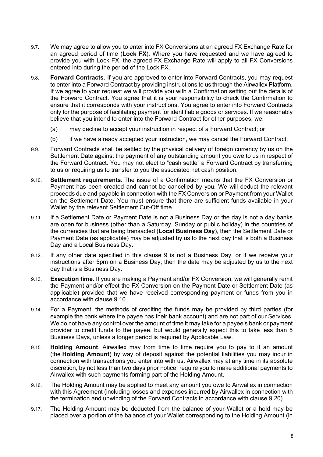- 9.7. We may agree to allow you to enter into FX Conversions at an agreed FX Exchange Rate for an agreed period of time (**Lock FX**). Where you have requested and we have agreed to provide you with Lock FX, the agreed FX Exchange Rate will apply to all FX Conversions entered into during the period of the Lock FX.
- 9.8. **Forward Contracts**. If you are approved to enter into Forward Contracts, you may request to enter into a Forward Contract by providing instructions to us through the Airwallex Platform. If we agree to your request we will provide you with a Confirmation setting out the details of the Forward Contract. You agree that it is your responsibility to check the Confirmation to ensure that it corresponds with your instructions. You agree to enter into Forward Contracts only for the purpose of facilitating payment for identifiable goods or services. If we reasonably believe that you intend to enter into the Forward Contract for other purposes, we:
	- (a) may decline to accept your instruction in respect of a Forward Contract; or
	- (b) if we have already accepted your instruction, we may cancel the Forward Contract.
- 9.9. Forward Contracts shall be settled by the physical delivery of foreign currency by us on the Settlement Date against the payment of any outstanding amount you owe to us in respect of the Forward Contract. You may not elect to "cash settle" a Forward Contract by transferring to us or requiring us to transfer to you the associated net cash position.
- 9.10. **Settlement requirements.** The issue of a Confirmation means that the FX Conversion or Payment has been created and cannot be cancelled by you. We will deduct the relevant proceeds due and payable in connection with the FX Conversion or Payment from your Wallet on the Settlement Date. You must ensure that there are sufficient funds available in your Wallet by the relevant Settlement Cut-Off time.
- 9.11. If a Settlement Date or Payment Date is not a Business Day or the day is not a day banks are open for business (other than a Saturday, Sunday or public holiday) in the countries of the currencies that are being transacted (**Local Business Day**), then the Settlement Date or Payment Date (as applicable) may be adjusted by us to the next day that is both a Business Day and a Local Business Day.
- 9.12. If any other date specified in this clause 9 is not a Business Day, or if we receive your instructions after 5pm on a Business Day, then the date may be adjusted by us to the next day that is a Business Day.
- 9.13. **Execution time**. If you are making a Payment and/or FX Conversion, we will generally remit the Payment and/or effect the FX Conversion on the Payment Date or Settlement Date (as applicable) provided that we have received corresponding payment or funds from you in accordance with clause 9.10.
- 9.14. For a Payment, the methods of crediting the funds may be provided by third parties (for example the bank where the payee has their bank account) and are not part of our Services. We do not have any control over the amount of time it may take for a payee's bank or payment provider to credit funds to the payee, but would generally expect this to take less than 5 Business Days, unless a longer period is required by Applicable Law.
- 9.15. **Holding Amount**. Airwallex may from time to time require you to pay to it an amount (the **Holding Amount**) by way of deposit against the potential liabilities you may incur in connection with transactions you enter into with us. Airwallex may at any time in its absolute discretion, by not less than two days prior notice, require you to make additional payments to Airwallex with such payments forming part of the Holding Amount.
- 9.16. The Holding Amount may be applied to meet any amount you owe to Airwallex in connection with this Agreement (including losses and expenses incurred by Airwallex in connection with the termination and unwinding of the Forward Contracts in accordance with clause 9.20).
- 9.17. The Holding Amount may be deducted from the balance of your Wallet or a hold may be placed over a portion of the balance of your Wallet corresponding to the Holding Amount (in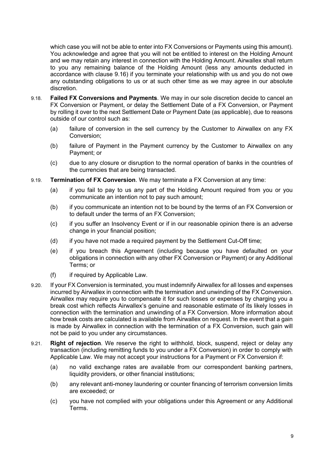which case you will not be able to enter into FX Conversions or Payments using this amount). You acknowledge and agree that you will not be entitled to interest on the Holding Amount and we may retain any interest in connection with the Holding Amount. Airwallex shall return to you any remaining balance of the Holding Amount (less any amounts deducted in accordance with clause 9.16) if you terminate your relationship with us and you do not owe any outstanding obligations to us or at such other time as we may agree in our absolute discretion.

- 9.18. **Failed FX Conversions and Payments**. We may in our sole discretion decide to cancel an FX Conversion or Payment, or delay the Settlement Date of a FX Conversion, or Payment by rolling it over to the next Settlement Date or Payment Date (as applicable), due to reasons outside of our control such as:
	- (a) failure of conversion in the sell currency by the Customer to Airwallex on any FX Conversion;
	- (b) failure of Payment in the Payment currency by the Customer to Airwallex on any Payment; or
	- (c) due to any closure or disruption to the normal operation of banks in the countries of the currencies that are being transacted.
- 9.19. **Termination of FX Conversion**. We may terminate a FX Conversion at any time:
	- (a) if you fail to pay to us any part of the Holding Amount required from you or you communicate an intention not to pay such amount;
	- (b) if you communicate an intention not to be bound by the terms of an FX Conversion or to default under the terms of an FX Conversion;
	- (c) if you suffer an Insolvency Event or if in our reasonable opinion there is an adverse change in your financial position;
	- (d) if you have not made a required payment by the Settlement Cut-Off time;
	- (e) if you breach this Agreement (including because you have defaulted on your obligations in connection with any other FX Conversion or Payment) or any Additional Terms; or
	- (f) if required by Applicable Law.
- 9.20. If your FX Conversion is terminated, you must indemnify Airwallex for all losses and expenses incurred by Airwallex in connection with the termination and unwinding of the FX Conversion. Airwallex may require you to compensate it for such losses or expenses by charging you a break cost which reflects Airwallex's genuine and reasonable estimate of its likely losses in connection with the termination and unwinding of a FX Conversion. More information about how break costs are calculated is available from Airwallex on request. In the event that a gain is made by Airwallex in connection with the termination of a FX Conversion, such gain will not be paid to you under any circumstances.
- 9.21. **Right of rejection**. We reserve the right to withhold, block, suspend, reject or delay any transaction (including remitting funds to you under a FX Conversion) in order to comply with Applicable Law. We may not accept your instructions for a Payment or FX Conversion if:
	- (a) no valid exchange rates are available from our correspondent banking partners, liquidity providers, or other financial institutions;
	- (b) any relevant anti-money laundering or counter financing of terrorism conversion limits are exceeded; or
	- (c) you have not complied with your obligations under this Agreement or any Additional Terms.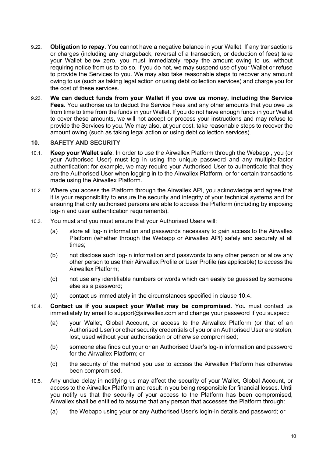- 9.22. **Obligation to repay**. You cannot have a negative balance in your Wallet. If any transactions or charges (including any chargeback, reversal of a transaction, or deduction of fees) take your Wallet below zero, you must immediately repay the amount owing to us, without requiring notice from us to do so. If you do not, we may suspend use of your Wallet or refuse to provide the Services to you. We may also take reasonable steps to recover any amount owing to us (such as taking legal action or using debt collection services) and charge you for the cost of these services.
- 9.23. **We can deduct funds from your Wallet if you owe us money, including the Service Fees.** You authorise us to deduct the Service Fees and any other amounts that you owe us from time to time from the funds in your Wallet. If you do not have enough funds in your Wallet to cover these amounts, we will not accept or process your instructions and may refuse to provide the Services to you. We may also, at your cost, take reasonable steps to recover the amount owing (such as taking legal action or using debt collection services).

# **10. SAFETY AND SECURITY**

- 10.1. **Keep your Wallet safe**. In order to use the Airwallex Platform through the Webapp , you (or your Authorised User) must log in using the unique password and any multiple-factor authentication: for example, we may require your Authorised User to authenticate that they are the Authorised User when logging in to the Airwallex Platform, or for certain transactions made using the Airwallex Platform.
- 10.2. Where you access the Platform through the Airwallex API, you acknowledge and agree that it is your responsibility to ensure the security and integrity of your technical systems and for ensuring that only authorised persons are able to access the Platform (including by imposing log-in and user authentication requirements).
- 10.3. You must and you must ensure that your Authorised Users will:
	- (a) store all log-in information and passwords necessary to gain access to the Airwallex Platform (whether through the Webapp or Airwallex API) safely and securely at all times;
	- (b) not disclose such log-in information and passwords to any other person or allow any other person to use their Airwallex Profile or User Profile (as applicable) to access the Airwallex Platform;
	- (c) not use any identifiable numbers or words which can easily be guessed by someone else as a password;
	- (d) contact us immediately in the circumstances specified in clause 10.4.
- 10.4. **Contact us if you suspect your Wallet may be compromised**. You must contact us immediately by email to support@airwallex.com and change your password if you suspect:
	- (a) your Wallet, Global Account, or access to the Airwallex Platform (or that of an Authorised User) or other security credentials of you or an Authorised User are stolen, lost, used without your authorisation or otherwise compromised;
	- (b) someone else finds out your or an Authorised User's log-in information and password for the Airwallex Platform; or
	- (c) the security of the method you use to access the Airwallex Platform has otherwise been compromised.
- 10.5. Any undue delay in notifying us may affect the security of your Wallet, Global Account, or access to the Airwallex Platform and result in you being responsible for financial losses. Until you notify us that the security of your access to the Platform has been compromised, Airwallex shall be entitled to assume that any person that accesses the Platform through:
	- (a) the Webapp using your or any Authorised User's login-in details and password; or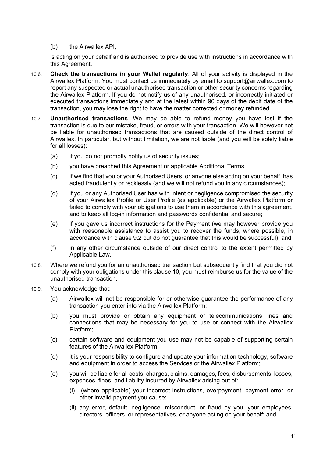(b) the Airwallex API,

is acting on your behalf and is authorised to provide use with instructions in accordance with this Agreement.

- 10.6. **Check the transactions in your Wallet regularly**. All of your activity is displayed in the Airwallex Platform. You must contact us immediately by email to support@airwallex.com to report any suspected or actual unauthorised transaction or other security concerns regarding the Airwallex Platform. If you do not notify us of any unauthorised, or incorrectly initiated or executed transactions immediately and at the latest within 90 days of the debit date of the transaction, you may lose the right to have the matter corrected or money refunded.
- 10.7. **Unauthorised transactions**. We may be able to refund money you have lost if the transaction is due to our mistake, fraud, or errors with your transaction. We will however not be liable for unauthorised transactions that are caused outside of the direct control of Airwallex. In particular, but without limitation, we are not liable (and you will be solely liable for all losses):
	- (a) if you do not promptly notify us of security issues;
	- (b) you have breached this Agreement or applicable Additional Terms;
	- (c) if we find that you or your Authorised Users, or anyone else acting on your behalf, has acted fraudulently or recklessly (and we will not refund you in any circumstances);
	- (d) if you or any Authorised User has with intent or negligence compromised the security of your Airwallex Profile or User Profile (as applicable) or the Airwallex Platform or failed to comply with your obligations to use them in accordance with this agreement, and to keep all log-in information and passwords confidential and secure;
	- (e) if you gave us incorrect instructions for the Payment (we may however provide you with reasonable assistance to assist you to recover the funds, where possible, in accordance with clause 9.2 but do not guarantee that this would be successful); and
	- (f) in any other circumstance outside of our direct control to the extent permitted by Applicable Law.
- 10.8. Where we refund you for an unauthorised transaction but subsequently find that you did not comply with your obligations under this clause 10, you must reimburse us for the value of the unauthorised transaction.
- 10.9. You acknowledge that:
	- (a) Airwallex will not be responsible for or otherwise guarantee the performance of any transaction you enter into via the Airwallex Platform;
	- (b) you must provide or obtain any equipment or telecommunications lines and connections that may be necessary for you to use or connect with the Airwallex Platform;
	- (c) certain software and equipment you use may not be capable of supporting certain features of the Airwallex Platform;
	- (d) it is your responsibility to configure and update your information technology, software and equipment in order to access the Services or the Airwallex Platform;
	- (e) you will be liable for all costs, charges, claims, damages, fees, disbursements, losses, expenses, fines, and liability incurred by Airwallex arising out of:
		- (i) (where applicable) your incorrect instructions, overpayment, payment error, or other invalid payment you cause;
		- (ii) any error, default, negligence, misconduct, or fraud by you, your employees, directors, officers, or representatives, or anyone acting on your behalf; and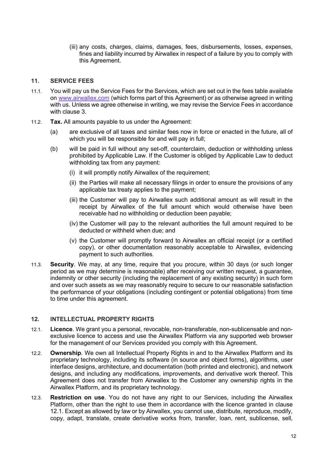(iii) any costs, charges, claims, damages, fees, disbursements, losses, expenses, fines and liability incurred by Airwallex in respect of a failure by you to comply with this Agreement.

#### **11. SERVICE FEES**

- 11.1. You will pay us the Service Fees for the Services, which are set out in the fees table available on www.airwallex.com (which forms part of this Agreement) or as otherwise agreed in writing with us. Unless we agree otherwise in writing, we may revise the Service Fees in accordance with clause 3.
- 11.2. **Tax.** All amounts payable to us under the Agreement:
	- (a) are exclusive of all taxes and similar fees now in force or enacted in the future, all of which you will be responsible for and will pay in full;
	- (b) will be paid in full without any set-off, counterclaim, deduction or withholding unless prohibited by Applicable Law. If the Customer is obliged by Applicable Law to deduct withholding tax from any payment:
		- (i) it will promptly notify Airwallex of the requirement;
		- (ii) the Parties will make all necessary filings in order to ensure the provisions of any applicable tax treaty applies to the payment;
		- (iii) the Customer will pay to Airwallex such additional amount as will result in the receipt by Airwallex of the full amount which would otherwise have been receivable had no withholding or deduction been payable;
		- (iv) the Customer will pay to the relevant authorities the full amount required to be deducted or withheld when due; and
		- (v) the Customer will promptly forward to Airwallex an official receipt (or a certified copy), or other documentation reasonably acceptable to Airwallex, evidencing payment to such authorities.
- 11.3. **Security**. We may, at any time, require that you procure, within 30 days (or such longer period as we may determine is reasonable) after receiving our written request, a guarantee, indemnity or other security (including the replacement of any existing security) in such form and over such assets as we may reasonably require to secure to our reasonable satisfaction the performance of your obligations (including contingent or potential obligations) from time to time under this agreement.

# **12. INTELLECTUAL PROPERTY RIGHTS**

- 12.1. **Licence**. We grant you a personal, revocable, non-transferable, non-sublicensable and nonexclusive licence to access and use the Airwallex Platform via any supported web browser for the management of our Services provided you comply with this Agreement.
- 12.2. **Ownership**. We own all Intellectual Property Rights in and to the Airwallex Platform and its proprietary technology, including its software (in source and object forms), algorithms, user interface designs, architecture, and documentation (both printed and electronic), and network designs, and including any modifications, improvements, and derivative work thereof. This Agreement does not transfer from Airwallex to the Customer any ownership rights in the Airwallex Platform, and its proprietary technology.
- 12.3. **Restriction on use**. You do not have any right to our Services, including the Airwallex Platform, other than the right to use them in accordance with the licence granted in clause 12.1. Except as allowed by law or by Airwallex, you cannot use, distribute, reproduce, modify, copy, adapt, translate, create derivative works from, transfer, loan, rent, sublicense, sell,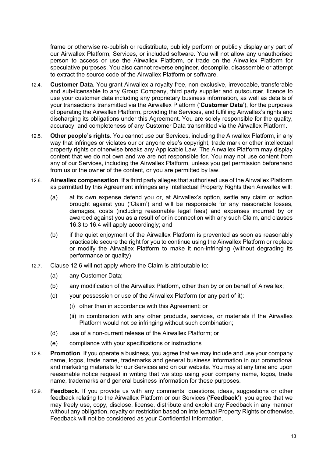frame or otherwise re-publish or redistribute, publicly perform or publicly display any part of our Airwallex Platform, Services, or included software. You will not allow any unauthorised person to access or use the Airwallex Platform, or trade on the Airwallex Platform for speculative purposes. You also cannot reverse engineer, decompile, disassemble or attempt to extract the source code of the Airwallex Platform or software.

- 12.4. **Customer Data**. You grant Airwallex a royalty-free, non-exclusive, irrevocable, transferable and sub-licensable to any Group Company, third party supplier and outsourcer, licence to use your customer data including any proprietary business information, as well as details of your transactions transmitted via the Airwallex Platform ('**Customer Data**'), for the purposes of operating the Airwallex Platform, providing the Services, and fulfilling Airwallex's rights and discharging its obligations under this Agreement. You are solely responsible for the quality, accuracy, and completeness of any Customer Data transmitted via the Airwallex Platform.
- 12.5. **Other people's rights**. You cannot use our Services, including the Airwallex Platform, in any way that infringes or violates our or anyone else's copyright, trade mark or other intellectual property rights or otherwise breaks any Applicable Law. The Airwallex Platform may display content that we do not own and we are not responsible for. You may not use content from any of our Services, including the Airwallex Platform, unless you get permission beforehand from us or the owner of the content, or you are permitted by law.
- 12.6. **Airwallex compensation**. If a third party alleges that authorised use of the Airwallex Platform as permitted by this Agreement infringes any Intellectual Property Rights then Airwallex will:
	- (a) at its own expense defend you or, at Airwallex's option, settle any claim or action brought against you ('Claim') and will be responsible for any reasonable losses, damages, costs (including reasonable legal fees) and expenses incurred by or awarded against you as a result of or in connection with any such Claim, and clauses 16.3 to 16.4 will apply accordingly; and
	- (b) if the quiet enjoyment of the Airwallex Platform is prevented as soon as reasonably practicable secure the right for you to continue using the Airwallex Platform or replace or modify the Airwallex Platform to make it non-infringing (without degrading its performance or quality)
- 12.7. Clause 12.6 will not apply where the Claim is attributable to:
	- (a) any Customer Data;
	- (b) any modification of the Airwallex Platform, other than by or on behalf of Airwallex;
	- (c) your possession or use of the Airwallex Platform (or any part of it):
		- (i) other than in accordance with this Agreement; or
		- (ii) in combination with any other products, services, or materials if the Airwallex Platform would not be infringing without such combination;
	- (d) use of a non-current release of the Airwallex Platform; or
	- (e) compliance with your specifications or instructions
- 12.8. **Promotion**. If you operate a business, you agree that we may include and use your company name, logos, trade name, trademarks and general business information in our promotional and marketing materials for our Services and on our website. You may at any time and upon reasonable notice request in writing that we stop using your company name, logos, trade name, trademarks and general business information for these purposes.
- 12.9. **Feedback**. If you provide us with any comments, questions, ideas, suggestions or other feedback relating to the Airwallex Platform or our Services ('**Feedback**'), you agree that we may freely use, copy, disclose, license, distribute and exploit any Feedback in any manner without any obligation, royalty or restriction based on Intellectual Property Rights or otherwise. Feedback will not be considered as your Confidential Information.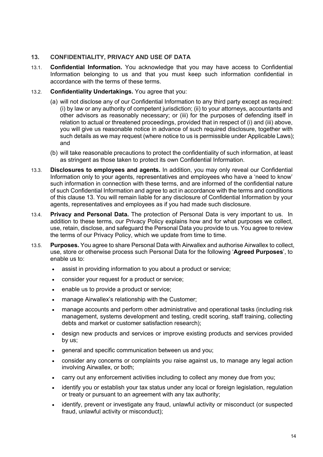# **13. CONFIDENTIALITY, PRIVACY AND USE OF DATA**

13.1. **Confidential Information.** You acknowledge that you may have access to Confidential Information belonging to us and that you must keep such information confidential in accordance with the terms of these terms.

# 13.2. **Confidentiality Undertakings.** You agree that you:

- (a) will not disclose any of our Confidential Information to any third party except as required: (i) by law or any authority of competent jurisdiction; (ii) to your attorneys, accountants and other advisors as reasonably necessary; or (iii) for the purposes of defending itself in relation to actual or threatened proceedings, provided that in respect of (i) and (iii) above, you will give us reasonable notice in advance of such required disclosure, together with such details as we may request (where notice to us is permissible under Applicable Laws); and
- (b) will take reasonable precautions to protect the confidentiality of such information, at least as stringent as those taken to protect its own Confidential Information.
- 13.3. **Disclosures to employees and agents.** In addition, you may only reveal our Confidential Information only to your agents, representatives and employees who have a 'need to know' such information in connection with these terms, and are informed of the confidential nature of such Confidential Information and agree to act in accordance with the terms and conditions of this clause 13. You will remain liable for any disclosure of Confidential Information by your agents, representatives and employees as if you had made such disclosure.
- 13.4. **Privacy and Personal Data.** The protection of Personal Data is very important to us. In addition to these terms, our Privacy Policy explains how and for what purposes we collect, use, retain, disclose, and safeguard the Personal Data you provide to us. You agree to review the terms of our Privacy Policy, which we update from time to time.
- 13.5. **Purposes.** You agree to share Personal Data with Airwallex and authorise Airwallex to collect, use, store or otherwise process such Personal Data for the following '**Agreed Purposes**', to enable us to:
	- assist in providing information to you about a product or service;
	- consider your request for a product or service;
	- enable us to provide a product or service;
	- manage Airwallex's relationship with the Customer;
	- manage accounts and perform other administrative and operational tasks (including risk management, systems development and testing, credit scoring, staff training, collecting debts and market or customer satisfaction research);
	- design new products and services or improve existing products and services provided by us;
	- general and specific communication between us and you;
	- consider any concerns or complaints you raise against us, to manage any legal action involving Airwallex, or both;
	- carry out any enforcement activities including to collect any money due from you;
	- identify you or establish your tax status under any local or foreign legislation, regulation or treaty or pursuant to an agreement with any tax authority;
	- identify, prevent or investigate any fraud, unlawful activity or misconduct (or suspected fraud, unlawful activity or misconduct);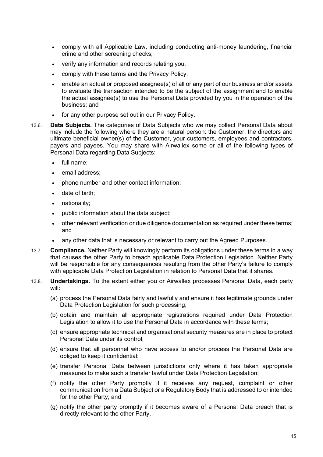- comply with all Applicable Law, including conducting anti-money laundering, financial crime and other screening checks;
- verify any information and records relating you;
- comply with these terms and the Privacy Policy;
- enable an actual or proposed assignee(s) of all or any part of our business and/or assets to evaluate the transaction intended to be the subject of the assignment and to enable the actual assignee(s) to use the Personal Data provided by you in the operation of the business; and
- for any other purpose set out in our Privacy Policy.
- 13.6. **Data Subjects.** The categories of Data Subjects who we may collect Personal Data about may include the following where they are a natural person: the Customer, the directors and ultimate beneficial owner(s) of the Customer, your customers, employees and contractors, payers and payees. You may share with Airwallex some or all of the following types of Personal Data regarding Data Subjects:
	- full name;
	- email address:
	- phone number and other contact information;
	- date of birth:
	- nationality;
	- public information about the data subject;
	- other relevant verification or due diligence documentation as required under these terms; and
	- any other data that is necessary or relevant to carry out the Agreed Purposes.
- 13.7. **Compliance.** Neither Party will knowingly perform its obligations under these terms in a way that causes the other Party to breach applicable Data Protection Legislation. Neither Party will be responsible for any consequences resulting from the other Party's failure to comply with applicable Data Protection Legislation in relation to Personal Data that it shares.
- 13.8. **Undertakings.** To the extent either you or Airwallex processes Personal Data, each party will:
	- (a) process the Personal Data fairly and lawfully and ensure it has legitimate grounds under Data Protection Legislation for such processing;
	- (b) obtain and maintain all appropriate registrations required under Data Protection Legislation to allow it to use the Personal Data in accordance with these terms;
	- (c) ensure appropriate technical and organisational security measures are in place to protect Personal Data under its control;
	- (d) ensure that all personnel who have access to and/or process the Personal Data are obliged to keep it confidential;
	- (e) transfer Personal Data between jurisdictions only where it has taken appropriate measures to make such a transfer lawful under Data Protection Legislation;
	- (f) notify the other Party promptly if it receives any request, complaint or other communication from a Data Subject or a Regulatory Body that is addressed to or intended for the other Party; and
	- (g) notify the other party promptly if it becomes aware of a Personal Data breach that is directly relevant to the other Party.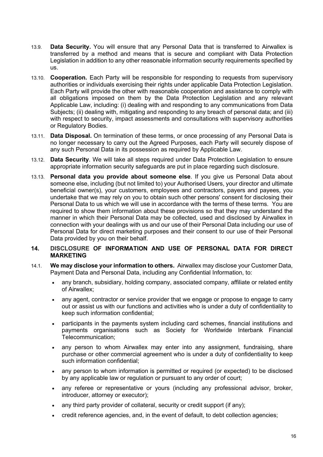- 13.9. **Data Security.** You will ensure that any Personal Data that is transferred to Airwallex is transferred by a method and means that is secure and compliant with Data Protection Legislation in addition to any other reasonable information security requirements specified by us.
- 13.10. **Cooperation.** Each Party will be responsible for responding to requests from supervisory authorities or individuals exercising their rights under applicable Data Protection Legislation. Each Party will provide the other with reasonable cooperation and assistance to comply with all obligations imposed on them by the Data Protection Legislation and any relevant Applicable Law, including: (i) dealing with and responding to any communications from Data Subjects; (ii) dealing with, mitigating and responding to any breach of personal data; and (iii) with respect to security, impact assessments and consultations with supervisory authorities or Regulatory Bodies.
- 13.11. **Data Disposal.** On termination of these terms, or once processing of any Personal Data is no longer necessary to carry out the Agreed Purposes, each Party will securely dispose of any such Personal Data in its possession as required by Applicable Law.
- 13.12. **Data Security**. We will take all steps required under Data Protection Legislation to ensure appropriate information security safeguards are put in place regarding such disclosure.
- 13.13. **Personal data you provide about someone else**. If you give us Personal Data about someone else, including (but not limited to) your Authorised Users, your director and ultimate beneficial owner(s), your customers, employees and contractors, payers and payees, you undertake that we may rely on you to obtain such other persons' consent for disclosing their Personal Data to us which we will use in accordance with the terms of these terms. You are required to show them information about these provisions so that they may understand the manner in which their Personal Data may be collected, used and disclosed by Airwallex in connection with your dealings with us and our use of their Personal Data including our use of Personal Data for direct marketing purposes and their consent to our use of their Personal Data provided by you on their behalf.
- **14. DISCLOSURE OF INFORMATION AND USE OF PERSONAL DATA FOR DIRECT MARKETING**
- 14.1. **We may disclose your information to others.** Airwallex may disclose your Customer Data, Payment Data and Personal Data, including any Confidential Information, to:
	- any branch, subsidiary, holding company, associated company, affiliate or related entity of Airwallex;
	- any agent, contractor or service provider that we engage or propose to engage to carry out or assist us with our functions and activities who is under a duty of confidentiality to keep such information confidential;
	- participants in the payments system including card schemes, financial institutions and payments organisations such as Society for Worldwide Interbank Financial Telecommunication;
	- any person to whom Airwallex may enter into any assignment, fundraising, share purchase or other commercial agreement who is under a duty of confidentiality to keep such information confidential;
	- any person to whom information is permitted or required (or expected) to be disclosed by any applicable law or regulation or pursuant to any order of court;
	- any referee or representative or yours (including any professional advisor, broker, introducer, attorney or executor);
	- any third party provider of collateral, security or credit support (if any);
	- credit reference agencies, and, in the event of default, to debt collection agencies;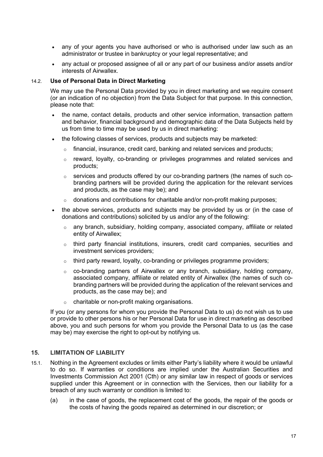- any of your agents you have authorised or who is authorised under law such as an administrator or trustee in bankruptcy or your legal representative; and
- any actual or proposed assignee of all or any part of our business and/or assets and/or interests of Airwallex.

#### 14.2. **Use of Personal Data in Direct Marketing**

We may use the Personal Data provided by you in direct marketing and we require consent (or an indication of no objection) from the Data Subject for that purpose. In this connection, please note that:

- the name, contact details, products and other service information, transaction pattern and behavior, financial background and demographic data of the Data Subjects held by us from time to time may be used by us in direct marketing:
- the following classes of services, products and subjects may be marketed:
	- $\circ$  financial, insurance, credit card, banking and related services and products;
	- $\circ$  reward, loyalty, co-branding or privileges programmes and related services and products;
	- o services and products offered by our co-branding partners (the names of such cobranding partners will be provided during the application for the relevant services and products, as the case may be); and
	- $\circ$  donations and contributions for charitable and/or non-profit making purposes;
- the above services, products and subjects may be provided by us or (in the case of donations and contributions) solicited by us and/or any of the following:
	- $\circ$  any branch, subsidiary, holding company, associated company, affiliate or related entity of Airwallex;
	- o third party financial institutions, insurers, credit card companies, securities and investment services providers;
	- o third party reward, loyalty, co-branding or privileges programme providers;
	- o co-branding partners of Airwallex or any branch, subsidiary, holding company, associated company, affiliate or related entity of Airwallex (the names of such cobranding partners will be provided during the application of the relevant services and products, as the case may be); and
	- o charitable or non-profit making organisations.

If you (or any persons for whom you provide the Personal Data to us) do not wish us to use or provide to other persons his or her Personal Data for use in direct marketing as described above, you and such persons for whom you provide the Personal Data to us (as the case may be) may exercise the right to opt-out by notifying us.

# **15. LIMITATION OF LIABILITY**

- 15.1. Nothing in the Agreement excludes or limits either Party's liability where it would be unlawful to do so. If warranties or conditions are implied under the Australian Securities and Investments Commission Act 2001 (Cth) or any similar law in respect of goods or services supplied under this Agreement or in connection with the Services, then our liability for a breach of any such warranty or condition is limited to:
	- (a) in the case of goods, the replacement cost of the goods, the repair of the goods or the costs of having the goods repaired as determined in our discretion; or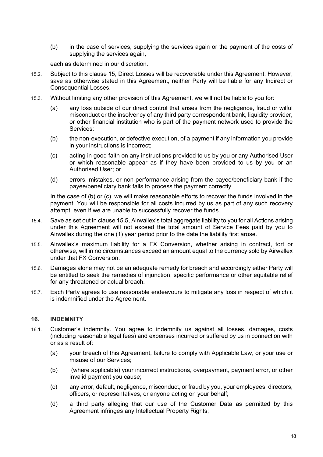(b) in the case of services, supplying the services again or the payment of the costs of supplying the services again.

each as determined in our discretion.

- 15.2. Subject to this clause 15, Direct Losses will be recoverable under this Agreement. However, save as otherwise stated in this Agreement, neither Party will be liable for any Indirect or Consequential Losses.
- 15.3. Without limiting any other provision of this Agreement, we will not be liable to you for:
	- (a) any loss outside of our direct control that arises from the negligence, fraud or wilful misconduct or the insolvency of any third party correspondent bank, liquidity provider, or other financial institution who is part of the payment network used to provide the Services;
	- (b) the non-execution, or defective execution, of a payment if any information you provide in your instructions is incorrect;
	- (c) acting in good faith on any instructions provided to us by you or any Authorised User or which reasonable appear as if they have been provided to us by you or an Authorised User; or
	- (d) errors, mistakes, or non-performance arising from the payee/beneficiary bank if the payee/beneficiary bank fails to process the payment correctly.

In the case of (b) or (c), we will make reasonable efforts to recover the funds involved in the payment. You will be responsible for all costs incurred by us as part of any such recovery attempt, even if we are unable to successfully recover the funds.

- 15.4. Save as set out in clause 15.5, Airwallex's total aggregate liability to you for all Actions arising under this Agreement will not exceed the total amount of Service Fees paid by you to Airwallex during the one (1) year period prior to the date the liability first arose.
- 15.5. Airwallex's maximum liability for a FX Conversion, whether arising in contract, tort or otherwise, will in no circumstances exceed an amount equal to the currency sold by Airwallex under that FX Conversion.
- 15.6. Damages alone may not be an adequate remedy for breach and accordingly either Party will be entitled to seek the remedies of injunction, specific performance or other equitable relief for any threatened or actual breach.
- 15.7. Each Party agrees to use reasonable endeavours to mitigate any loss in respect of which it is indemnified under the Agreement.

#### **16. INDEMNITY**

- 16.1. Customer's indemnity. You agree to indemnify us against all losses, damages, costs (including reasonable legal fees) and expenses incurred or suffered by us in connection with or as a result of:
	- (a) your breach of this Agreement, failure to comply with Applicable Law, or your use or misuse of our Services;
	- (b) (where applicable) your incorrect instructions, overpayment, payment error, or other invalid payment you cause;
	- (c) any error, default, negligence, misconduct, or fraud by you, your employees, directors, officers, or representatives, or anyone acting on your behalf;
	- (d) a third party alleging that our use of the Customer Data as permitted by this Agreement infringes any Intellectual Property Rights;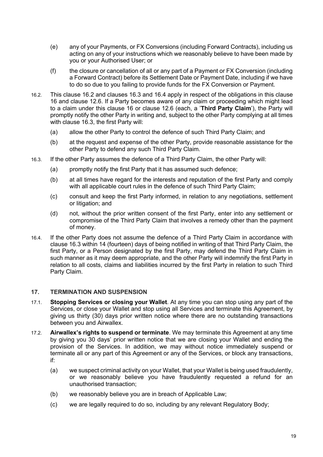- (e) any of your Payments, or FX Conversions (including Forward Contracts), including us acting on any of your instructions which we reasonably believe to have been made by you or your Authorised User; or
- (f) the closure or cancellation of all or any part of a Payment or FX Conversion (including a Forward Contract) before its Settlement Date or Payment Date, including if we have to do so due to you failing to provide funds for the FX Conversion or Payment.
- 16.2. This clause 16.2 and clauses 16.3 and 16.4 apply in respect of the obligations in this clause 16 and clause 12.6. If a Party becomes aware of any claim or proceeding which might lead to a claim under this clause 16 or clause 12.6 (each, a '**Third Party Claim**'), the Party will promptly notify the other Party in writing and, subject to the other Party complying at all times with clause 16.3, the first Party will:
	- (a) allow the other Party to control the defence of such Third Party Claim; and
	- (b) at the request and expense of the other Party, provide reasonable assistance for the other Party to defend any such Third Party Claim.
- 16.3. If the other Party assumes the defence of a Third Party Claim, the other Party will:
	- (a) promptly notify the first Party that it has assumed such defence;
	- (b) at all times have regard for the interests and reputation of the first Party and comply with all applicable court rules in the defence of such Third Party Claim:
	- (c) consult and keep the first Party informed, in relation to any negotiations, settlement or litigation; and
	- (d) not, without the prior written consent of the first Party, enter into any settlement or compromise of the Third Party Claim that involves a remedy other than the payment of money.
- 16.4. If the other Party does not assume the defence of a Third Party Claim in accordance with clause 16.3 within 14 (fourteen) days of being notified in writing of that Third Party Claim, the first Party, or a Person designated by the first Party, may defend the Third Party Claim in such manner as it may deem appropriate, and the other Party will indemnify the first Party in relation to all costs, claims and liabilities incurred by the first Party in relation to such Third Party Claim.

# **17. TERMINATION AND SUSPENSION**

- 17.1. **Stopping Services or closing your Wallet**. At any time you can stop using any part of the Services, or close your Wallet and stop using all Services and terminate this Agreement, by giving us thirty (30) days prior written notice where there are no outstanding transactions between you and Airwallex.
- 17.2. **Airwallex's rights to suspend or terminate**. We may terminate this Agreement at any time by giving you 30 days' prior written notice that we are closing your Wallet and ending the provision of the Services. In addition, we may without notice immediately suspend or terminate all or any part of this Agreement or any of the Services, or block any transactions, if:
	- (a) we suspect criminal activity on your Wallet, that your Wallet is being used fraudulently, or we reasonably believe you have fraudulently requested a refund for an unauthorised transaction;
	- (b) we reasonably believe you are in breach of Applicable Law;
	- (c) we are legally required to do so, including by any relevant Regulatory Body;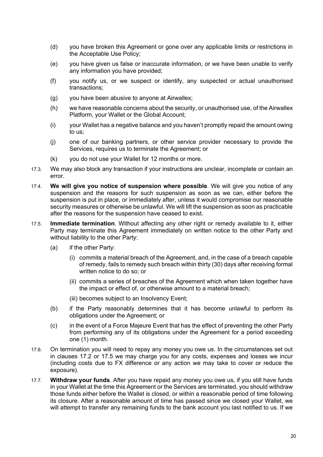- (d) you have broken this Agreement or gone over any applicable limits or restrictions in the Acceptable Use Policy;
- (e) you have given us false or inaccurate information, or we have been unable to verify any information you have provided;
- (f) you notify us, or we suspect or identify, any suspected or actual unauthorised transactions;
- (g) you have been abusive to anyone at Airwallex;
- (h) we have reasonable concerns about the security, or unauthorised use, of the Airwallex Platform, your Wallet or the Global Account;
- (i) your Wallet has a negative balance and you haven't promptly repaid the amount owing to us;
- (j) one of our banking partners, or other service provider necessary to provide the Services, requires us to terminate the Agreement; or
- (k) you do not use your Wallet for 12 months or more.
- 17.3. We may also block any transaction if your instructions are unclear, incomplete or contain an error.
- 17.4. **We will give you notice of suspension where possible**. We will give you notice of any suspension and the reasons for such suspension as soon as we can, either before the suspension is put in place, or immediately after, unless it would compromise our reasonable security measures or otherwise be unlawful. We will lift the suspension as soon as practicable after the reasons for the suspension have ceased to exist.
- 17.5. **Immediate termination**. Without affecting any other right or remedy available to it, either Party may terminate this Agreement immediately on written notice to the other Party and without liability to the other Party:
	- (a) if the other Party:
		- (i) commits a material breach of the Agreement, and, in the case of a breach capable of remedy, fails to remedy such breach within thirty (30) days after receiving formal written notice to do so; or
		- (ii) commits a series of breaches of the Agreement which when taken together have the impact or effect of, or otherwise amount to a material breach;
		- (iii) becomes subject to an Insolvency Event;
	- (b) if the Party reasonably determines that it has become unlawful to perform its obligations under the Agreement; or
	- (c) in the event of a Force Majeure Event that has the effect of preventing the other Party from performing any of its obligations under the Agreement for a period exceeding one (1) month.
- 17.6. On termination you will need to repay any money you owe us. In the circumstances set out in clauses 17.2 or 17.5 we may charge you for any costs, expenses and losses we incur (including costs due to FX difference or any action we may take to cover or reduce the exposure).
- 17.7. **Withdraw your funds**. After you have repaid any money you owe us, if you still have funds in your Wallet at the time this Agreement or the Services are terminated, you should withdraw those funds either before the Wallet is closed, or within a reasonable period of time following its closure. After a reasonable amount of time has passed since we closed your Wallet, we will attempt to transfer any remaining funds to the bank account you last notified to us. If we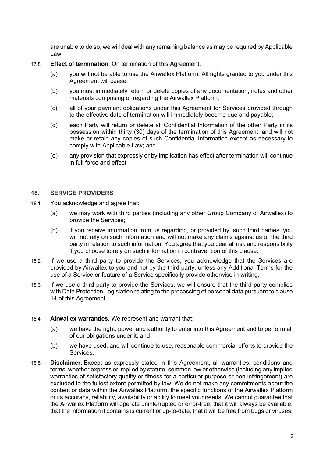are unable to do so, we will deal with any remaining balance as may be required by Applicable Law.

- 17.8. **Effect of termination**. On termination of this Agreement:
	- (a) you will not be able to use the Airwallex Platform. All rights granted to you under this Agreement will cease:
	- (b) you must immediately return or delete copies of any documentation, notes and other materials comprising or regarding the Airwallex Platform;
	- (c) all of your payment obligations under this Agreement for Services provided through to the effective date of termination will immediately become due and payable;
	- (d) each Party will return or delete all Confidential Information of the other Party in its possession within thirty (30) days of the termination of this Agreement, and will not make or retain any copies of such Confidential Information except as necessary to comply with Applicable Law; and
	- (e) any provision that expressly or by implication has effect after termination will continue in full force and effect.

# **18. SERVICE PROVIDERS**

- 18.1. You acknowledge and agree that:
	- (a) we may work with third parties (including any other Group Company of Airwallex) to provide the Services;
	- (b) if you receive information from us regarding, or provided by, such third parties, you will not rely on such information and will not make any claims against us or the third party in relation to such information. You agree that you bear all risk and responsibility if you choose to rely on such information in contravention of this clause.
- 18.2. If we use a third party to provide the Services, you acknowledge that the Services are provided by Airwallex to you and not by the third party, unless any Additional Terms for the use of a Service or feature of a Service specifically provide otherwise in writing.
- 18.3. If we use a third party to provide the Services, we will ensure that the third party complies with Data Protection Legislation relating to the processing of personal data pursuant to clause 14 of this Agreement.

#### 18.4. **Airwallex warranties.** We represent and warrant that:

- (a) we have the right, power and authority to enter into this Agreement and to perform all of our obligations under it; and
- (b) we have used, and will continue to use, reasonable commercial efforts to provide the Services.
- 18.5. **Disclaimer.** Except as expressly stated in this Agreement, all warranties, conditions and terms, whether express or implied by statute, common law or otherwise (including any implied warranties of satisfactory quality or fitness for a particular purpose or non-infringement) are excluded to the fullest extent permitted by law. We do not make any commitments about the content or data within the Airwallex Platform, the specific functions of the Airwallex Platform or its accuracy, reliability, availability or ability to meet your needs. We cannot guarantee that the Airwallex Platform will operate uninterrupted or error-free, that it will always be available, that the information it contains is current or up-to-date, that it will be free from bugs or viruses,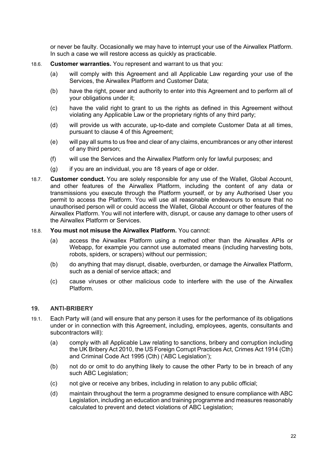or never be faulty. Occasionally we may have to interrupt your use of the Airwallex Platform. In such a case we will restore access as quickly as practicable.

- 18.6. **Customer warranties.** You represent and warrant to us that you:
	- (a) will comply with this Agreement and all Applicable Law regarding your use of the Services, the Airwallex Platform and Customer Data;
	- (b) have the right, power and authority to enter into this Agreement and to perform all of your obligations under it;
	- (c) have the valid right to grant to us the rights as defined in this Agreement without violating any Applicable Law or the proprietary rights of any third party;
	- (d) will provide us with accurate, up-to-date and complete Customer Data at all times, pursuant to clause 4 of this Agreement;
	- (e) will pay all sums to us free and clear of any claims, encumbrances or any other interest of any third person;
	- (f) will use the Services and the Airwallex Platform only for lawful purposes; and
	- (g) if you are an individual, you are 18 years of age or older.
- 18.7. **Customer conduct.** You are solely responsible for any use of the Wallet, Global Account, and other features of the Airwallex Platform, including the content of any data or transmissions you execute through the Platform yourself, or by any Authorised User you permit to access the Platform. You will use all reasonable endeavours to ensure that no unauthorised person will or could access the Wallet, Global Account or other features of the Airwallex Platform. You will not interfere with, disrupt, or cause any damage to other users of the Airwallex Platform or Services.
- 18.8. **You must not misuse the Airwallex Platform.** You cannot:
	- (a) access the Airwallex Platform using a method other than the Airwallex APIs or Webapp, for example you cannot use automated means (including harvesting bots, robots, spiders, or scrapers) without our permission;
	- (b) do anything that may disrupt, disable, overburden, or damage the Airwallex Platform, such as a denial of service attack; and
	- (c) cause viruses or other malicious code to interfere with the use of the Airwallex Platform.

# **19. ANTI-BRIBERY**

- 19.1. Each Party will (and will ensure that any person it uses for the performance of its obligations under or in connection with this Agreement, including, employees, agents, consultants and subcontractors will):
	- (a) comply with all Applicable Law relating to sanctions, bribery and corruption including the UK Bribery Act 2010, the US Foreign Corrupt Practices Act, Crimes Act 1914 (Cth) and Criminal Code Act 1995 (Cth) ('ABC Legislation');
	- (b) not do or omit to do anything likely to cause the other Party to be in breach of any such ABC Legislation:
	- (c) not give or receive any bribes, including in relation to any public official;
	- (d) maintain throughout the term a programme designed to ensure compliance with ABC Legislation, including an education and training programme and measures reasonably calculated to prevent and detect violations of ABC Legislation;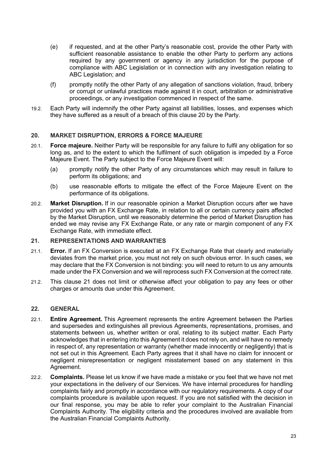- (e) if requested, and at the other Party's reasonable cost, provide the other Party with sufficient reasonable assistance to enable the other Party to perform any actions required by any government or agency in any jurisdiction for the purpose of compliance with ABC Legislation or in connection with any investigation relating to ABC Legislation; and
- (f) promptly notify the other Party of any allegation of sanctions violation, fraud, bribery or corrupt or unlawful practices made against it in court, arbitration or administrative proceedings, or any investigation commenced in respect of the same.
- 19.2. Each Party will indemnify the other Party against all liabilities, losses, and expenses which they have suffered as a result of a breach of this clause 20 by the Party.

#### **20. MARKET DISRUPTION, ERRORS & FORCE MAJEURE**

- 20.1. **Force majeure.** Neither Party will be responsible for any failure to fulfil any obligation for so long as, and to the extent to which the fulfilment of such obligation is impeded by a Force Majeure Event. The Party subject to the Force Majeure Event will:
	- (a) promptly notify the other Party of any circumstances which may result in failure to perform its obligations; and
	- (b) use reasonable efforts to mitigate the effect of the Force Majeure Event on the performance of its obligations.
- 20.2. **Market Disruption.** If in our reasonable opinion a Market Disruption occurs after we have provided you with an FX Exchange Rate, in relation to all or certain currency pairs affected by the Market Disruption, until we reasonably determine the period of Market Disruption has ended we may revise any FX Exchange Rate, or any rate or margin component of any FX Exchange Rate, with immediate effect.

#### **21. REPRESENTATIONS AND WARRANTIES**

- 21.1. **Error.** If an FX Conversion is executed at an FX Exchange Rate that clearly and materially deviates from the market price, you must not rely on such obvious error. In such cases, we may declare that the FX Conversion is not binding: you will need to return to us any amounts made under the FX Conversion and we will reprocess such FX Conversion at the correct rate.
- 21.2. This clause 21 does not limit or otherwise affect your obligation to pay any fees or other charges or amounts due under this Agreement.

#### **22. GENERAL**

- 22.1. **Entire Agreement.** This Agreement represents the entire Agreement between the Parties and supersedes and extinguishes all previous Agreements, representations, promises, and statements between us, whether written or oral, relating to its subject matter. Each Party acknowledges that in entering into this Agreement it does not rely on, and will have no remedy in respect of, any representation or warranty (whether made innocently or negligently) that is not set out in this Agreement. Each Party agrees that it shall have no claim for innocent or negligent misrepresentation or negligent misstatement based on any statement in this Agreement.
- 22.2. **Complaints.** Please let us know if we have made a mistake or you feel that we have not met your expectations in the delivery of our Services. We have internal procedures for handling complaints fairly and promptly in accordance with our regulatory requirements. A copy of our complaints procedure is available upon request. If you are not satisfied with the decision in our final response, you may be able to refer your complaint to the Australian Financial Complaints Authority. The eligibility criteria and the procedures involved are available from the Australian Financial Complaints Authority.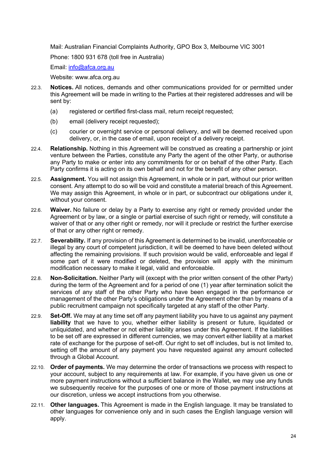Mail: Australian Financial Complaints Authority, GPO Box 3, Melbourne VIC 3001

Phone: 1800 931 678 (toll free in Australia)

Email: info@afca.org.au

Website: www.afca.org.au

- 22.3. **Notices.** All notices, demands and other communications provided for or permitted under this Agreement will be made in writing to the Parties at their registered addresses and will be sent by:
	- (a) registered or certified first-class mail, return receipt requested;
	- (b) email (delivery receipt requested);
	- (c) courier or overnight service or personal delivery, and will be deemed received upon delivery, or, in the case of email, upon receipt of a delivery receipt.
- 22.4. **Relationship.** Nothing in this Agreement will be construed as creating a partnership or joint venture between the Parties, constitute any Party the agent of the other Party, or authorise any Party to make or enter into any commitments for or on behalf of the other Party. Each Party confirms it is acting on its own behalf and not for the benefit of any other person.
- 22.5. **Assignment.** You will not assign this Agreement, in whole or in part, without our prior written consent. Any attempt to do so will be void and constitute a material breach of this Agreement. We may assign this Agreement, in whole or in part, or subcontract our obligations under it, without your consent.
- 22.6. **Waiver.** No failure or delay by a Party to exercise any right or remedy provided under the Agreement or by law, or a single or partial exercise of such right or remedy, will constitute a waiver of that or any other right or remedy, nor will it preclude or restrict the further exercise of that or any other right or remedy.
- 22.7. **Severability.** If any provision of this Agreement is determined to be invalid, unenforceable or illegal by any court of competent jurisdiction, it will be deemed to have been deleted without affecting the remaining provisions. If such provision would be valid, enforceable and legal if some part of it were modified or deleted, the provision will apply with the minimum modification necessary to make it legal, valid and enforceable.
- 22.8. **Non-Solicitation.** Neither Party will (except with the prior written consent of the other Party) during the term of the Agreement and for a period of one (1) year after termination solicit the services of any staff of the other Party who have been engaged in the performance or management of the other Party's obligations under the Agreement other than by means of a public recruitment campaign not specifically targeted at any staff of the other Party.
- 22.9. **Set-Off.** We may at any time set off any payment liability you have to us against any payment **liability** that we have to you, whether either liability is present or future, liquidated or unliquidated, and whether or not either liability arises under this Agreement. If the liabilities to be set off are expressed in different currencies, we may convert either liability at a market rate of exchange for the purpose of set-off. Our right to set off includes, but is not limited to, setting off the amount of any payment you have requested against any amount collected through a Global Account.
- 22.10. **Order of payments.** We may determine the order of transactions we process with respect to your account, subject to any requirements at law. For example, if you have given us one or more payment instructions without a sufficient balance in the Wallet, we may use any funds we subsequently receive for the purposes of one or more of those payment instructions at our discretion, unless we accept instructions from you otherwise.
- 22.11. **Other languages.** This Agreement is made in the English language. It may be translated to other languages for convenience only and in such cases the English language version will apply.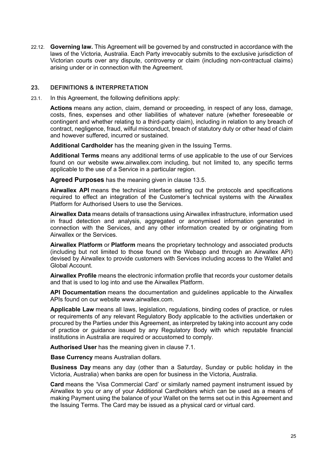22.12. **Governing law.** This Agreement will be governed by and constructed in accordance with the laws of the Victoria, Australia. Each Party irrevocably submits to the exclusive jurisdiction of Victorian courts over any dispute, controversy or claim (including non-contractual claims) arising under or in connection with the Agreement.

#### **23. DEFINITIONS & INTERPRETATION**

23.1. In this Agreement, the following definitions apply:

**Actions** means any action, claim, demand or proceeding, in respect of any loss, damage, costs, fines, expenses and other liabilities of whatever nature (whether foreseeable or contingent and whether relating to a third-party claim), including in relation to any breach of contract, negligence, fraud, wilful misconduct, breach of statutory duty or other head of claim and however suffered, incurred or sustained.

**Additional Cardholder** has the meaning given in the Issuing Terms.

**Additional Terms** means any additional terms of use applicable to the use of our Services found on our website www.airwallex.com including, but not limited to, any specific terms applicable to the use of a Service in a particular region.

**Agreed Purposes** has the meaning given in clause 13.5.

**Airwallex API** means the technical interface setting out the protocols and specifications required to effect an integration of the Customer's technical systems with the Airwallex Platform for Authorised Users to use the Services.

**Airwallex Data** means details of transactions using Airwallex infrastructure, information used in fraud detection and analysis, aggregated or anonymised information generated in connection with the Services, and any other information created by or originating from Airwallex or the Services.

**Airwallex Platform** or **Platform** means the proprietary technology and associated products (including but not limited to those found on the Webapp and through an Airwallex API) devised by Airwallex to provide customers with Services including access to the Wallet and Global Account.

**Airwallex Profile** means the electronic information profile that records your customer details and that is used to log into and use the Airwallex Platform.

**API Documentation** means the documentation and guidelines applicable to the Airwallex APIs found on our website www.airwallex.com.

**Applicable Law** means all laws, legislation, regulations, binding codes of practice, or rules or requirements of any relevant Regulatory Body applicable to the activities undertaken or procured by the Parties under this Agreement, as interpreted by taking into account any code of practice or guidance issued by any Regulatory Body with which reputable financial institutions in Australia are required or accustomed to comply.

**Authorised User** has the meaning given in clause 7.1.

**Base Currency** means Australian dollars.

**Business Day** means any day (other than a Saturday, Sunday or public holiday in the Victoria, Australia) when banks are open for business in the Victoria, Australia.

**Card** means the 'Visa Commercial Card' or similarly named payment instrument issued by Airwallex to you or any of your Additional Cardholders which can be used as a means of making Payment using the balance of your Wallet on the terms set out in this Agreement and the Issuing Terms. The Card may be issued as a physical card or virtual card.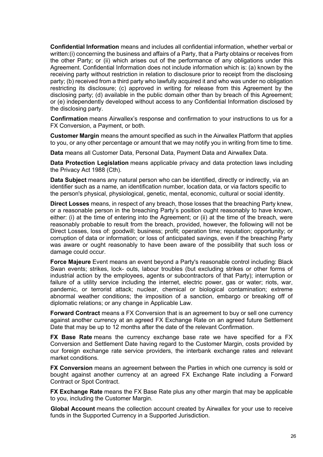**Confidential Information** means and includes all confidential information, whether verbal or written:(i) concerning the business and affairs of a Party, that a Party obtains or receives from the other Party; or (ii) which arises out of the performance of any obligations under this Agreement. Confidential Information does not include information which is: (a) known by the receiving party without restriction in relation to disclosure prior to receipt from the disclosing party; (b) received from a third party who lawfully acquired it and who was under no obligation restricting its disclosure; (c) approved in writing for release from this Agreement by the disclosing party; (d) available in the public domain other than by breach of this Agreement; or (e) independently developed without access to any Confidential Information disclosed by the disclosing party.

**Confirmation** means Airwallex's response and confirmation to your instructions to us for a FX Conversion, a Payment, or both.

**Customer Margin** means the amount specified as such in the Airwallex Platform that applies to you, or any other percentage or amount that we may notify you in writing from time to time.

**Data** means all Customer Data, Personal Data, Payment Data and Airwallex Data.

**Data Protection Legislation** means applicable privacy and data protection laws including the Privacy Act 1988 (Cth).

**Data Subject** means any natural person who can be identified, directly or indirectly, via an identifier such as a name, an identification number, location data, or via factors specific to the person's physical, physiological, genetic, mental, economic, cultural or social identity.

**Direct Losses** means, in respect of any breach, those losses that the breaching Party knew, or a reasonable person in the breaching Party's position ought reasonably to have known, either: (i) at the time of entering into the Agreement; or (ii) at the time of the breach, were reasonably probable to result from the breach, provided, however, the following will not be Direct Losses, loss of: goodwill; business; profit; operation time; reputation; opportunity; or corruption of data or information; or loss of anticipated savings, even if the breaching Party was aware or ought reasonably to have been aware of the possibility that such loss or damage could occur.

**Force Majeure** Event means an event beyond a Party's reasonable control including: Black Swan events; strikes, lock- outs, labour troubles (but excluding strikes or other forms of industrial action by the employees, agents or subcontractors of that Party); interruption or failure of a utility service including the internet, electric power, gas or water; riots, war, pandemic, or terrorist attack; nuclear, chemical or biological contamination; extreme abnormal weather conditions; the imposition of a sanction, embargo or breaking off of diplomatic relations; or any change in Applicable Law.

**Forward Contract** means a FX Conversion that is an agreement to buy or sell one currency against another currency at an agreed FX Exchange Rate on an agreed future Settlement Date that may be up to 12 months after the date of the relevant Confirmation.

**FX Base Rate** means the currency exchange base rate we have specified for a FX Conversion and Settlement Date having regard to the Customer Margin, costs provided by our foreign exchange rate service providers, the interbank exchange rates and relevant market conditions.

**FX Conversion** means an agreement between the Parties in which one currency is sold or bought against another currency at an agreed FX Exchange Rate including a Forward Contract or Spot Contract.

**FX Exchange Rate** means the FX Base Rate plus any other margin that may be applicable to you, including the Customer Margin.

**Global Account** means the collection account created by Airwallex for your use to receive funds in the Supported Currency in a Supported Jurisdiction.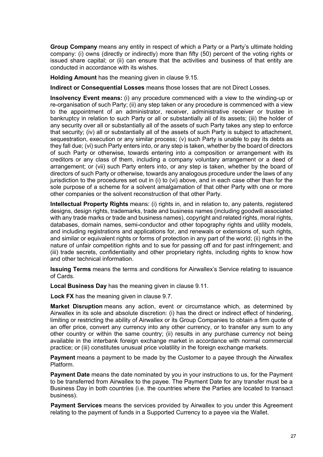**Group Company** means any entity in respect of which a Party or a Party's ultimate holding company: (i) owns (directly or indirectly) more than fifty (50) percent of the voting rights or issued share capital; or (ii) can ensure that the activities and business of that entity are conducted in accordance with its wishes.

**Holding Amount** has the meaning given in clause 9.15.

**Indirect or Consequential Losses** means those losses that are not Direct Losses.

**Insolvency Event means:** (i) any procedure commenced with a view to the winding-up or re-organisation of such Party; (ii) any step taken or any procedure is commenced with a view to the appointment of an administrator, receiver, administrative receiver or trustee in bankruptcy in relation to such Party or all or substantially all of its assets; (iii) the holder of any security over all or substantially all of the assets of such Party takes any step to enforce that security; (iv) all or substantially all of the assets of such Party is subject to attachment, sequestration, execution or any similar process; (v) such Party is unable to pay its debts as they fall due; (vi) such Party enters into, or any step is taken, whether by the board of directors of such Party or otherwise, towards entering into a composition or arrangement with its creditors or any class of them, including a company voluntary arrangement or a deed of arrangement; or (vii) such Party enters into, or any step is taken, whether by the board of directors of such Party or otherwise, towards any analogous procedure under the laws of any jurisdiction to the procedures set out in (i) to (vi) above, and in each case other than for the sole purpose of a scheme for a solvent amalgamation of that other Party with one or more other companies or the solvent reconstruction of that other Party.

**Intellectual Property Rights** means: (i) rights in, and in relation to, any patents, registered designs, design rights, trademarks, trade and business names (including goodwill associated with any trade marks or trade and business names), copyright and related rights, moral rights, databases, domain names, semi-conductor and other topography rights and utility models, and including registrations and applications for, and renewals or extensions of, such rights, and similar or equivalent rights or forms of protection in any part of the world; (ii) rights in the nature of unfair competition rights and to sue for passing off and for past infringement; and (iii) trade secrets, confidentiality and other proprietary rights, including rights to know how and other technical information.

**Issuing Terms** means the terms and conditions for Airwallex's Service relating to issuance of Cards.

**Local Business Day** has the meaning given in clause 9.11.

**Lock FX** has the meaning given in clause 9.7.

**Market Disruption** means any action, event or circumstance which, as determined by Airwallex in its sole and absolute discretion: (i) has the direct or indirect effect of hindering, limiting or restricting the ability of Airwallex or its Group Companies to obtain a firm quote of an offer price, convert any currency into any other currency, or to transfer any sum to any other country or within the same country; (ii) results in any purchase currency not being available in the interbank foreign exchange market in accordance with normal commercial practice; or (iii) constitutes unusual price volatility in the foreign exchange markets.

**Payment** means a payment to be made by the Customer to a payee through the Airwallex Platform.

**Payment Date** means the date nominated by you in your instructions to us, for the Payment to be transferred from Airwallex to the payee. The Payment Date for any transfer must be a Business Day in both countries (i.e. the countries where the Parties are located to transact business).

**Payment Services** means the services provided by Airwallex to you under this Agreement relating to the payment of funds in a Supported Currency to a payee via the Wallet.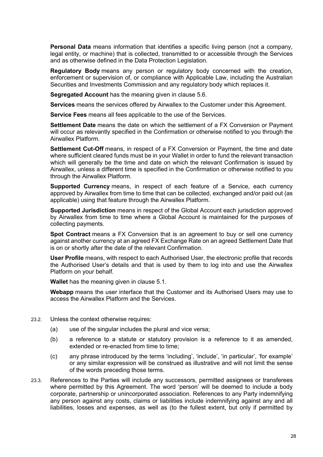**Personal Data** means information that identifies a specific living person (not a company, legal entity, or machine) that is collected, transmitted to or accessible through the Services and as otherwise defined in the Data Protection Legislation.

**Regulatory Body** means any person or regulatory body concerned with the creation, enforcement or supervision of, or compliance with Applicable Law, including the Australian Securities and Investments Commission and any regulatory body which replaces it.

**Segregated Account** has the meaning given in clause 5.6.

**Services** means the services offered by Airwallex to the Customer under this Agreement.

**Service Fees** means all fees applicable to the use of the Services.

**Settlement Date** means the date on which the settlement of a FX Conversion or Payment will occur as relevantly specified in the Confirmation or otherwise notified to you through the Airwallex Platform.

**Settlement Cut-Off** means, in respect of a FX Conversion or Payment, the time and date where sufficient cleared funds must be in your Wallet in order to fund the relevant transaction which will generally be the time and date on which the relevant Confirmation is issued by Airwallex, unless a different time is specified in the Confirmation or otherwise notified to you through the Airwallex Platform.

**Supported Currency** means, in respect of each feature of a Service, each currency approved by Airwallex from time to time that can be collected, exchanged and/or paid out (as applicable) using that feature through the Airwallex Platform.

**Supported Jurisdiction** means in respect of the Global Account each jurisdiction approved by Airwallex from time to time where a Global Account is maintained for the purposes of collecting payments.

**Spot Contract** means a FX Conversion that is an agreement to buy or sell one currency against another currency at an agreed FX Exchange Rate on an agreed Settlement Date that is on or shortly after the date of the relevant Confirmation.

**User Profile** means, with respect to each Authorised User, the electronic profile that records the Authorised User's details and that is used by them to log into and use the Airwallex Platform on your behalf.

**Wallet** has the meaning given in clause 5.1.

**Webapp** means the user interface that the Customer and its Authorised Users may use to access the Airwallex Platform and the Services.

- 23.2. Unless the context otherwise requires:
	- (a) use of the singular includes the plural and vice versa;
	- (b) a reference to a statute or statutory provision is a reference to it as amended, extended or re-enacted from time to time;
	- (c) any phrase introduced by the terms 'including', 'include', 'in particular', 'for example' or any similar expression will be construed as illustrative and will not limit the sense of the words preceding those terms.
- 23.3. References to the Parties will include any successors, permitted assignees or transferees where permitted by this Agreement. The word 'person' will be deemed to include a body corporate, partnership or unincorporated association. References to any Party indemnifying any person against any costs, claims or liabilities include indemnifying against any and all liabilities, losses and expenses, as well as (to the fullest extent, but only if permitted by